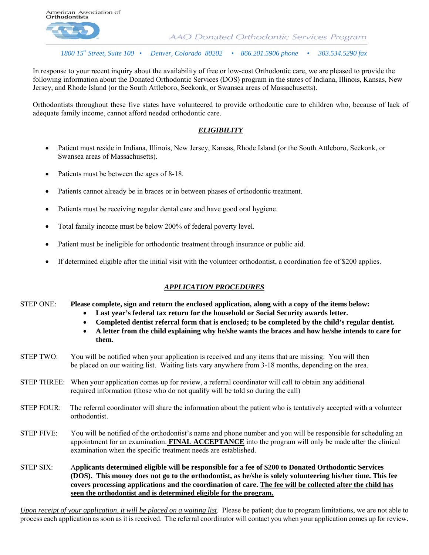

AAO Donated Orthodontic Services Program

 *1800 15th Street, Suite 100 • Denver, Colorado 80202 • 866.201.5906 phone • 303.534.5290 fax*

In response to your recent inquiry about the availability of free or low-cost Orthodontic care, we are pleased to provide the following information about the Donated Orthodontic Services (DOS) program in the states of Indiana, Illinois, Kansas, New Jersey, and Rhode Island (or the South Attleboro, Seekonk, or Swansea areas of Massachusetts).

Orthodontists throughout these five states have volunteered to provide orthodontic care to children who, because of lack of adequate family income, cannot afford needed orthodontic care.

#### *ELIGIBILITY*

- Patient must reside in Indiana, Illinois, New Jersey, Kansas, Rhode Island (or the South Attleboro, Seekonk, or Swansea areas of Massachusetts).
- Patients must be between the ages of 8-18.
- Patients cannot already be in braces or in between phases of orthodontic treatment.
- Patients must be receiving regular dental care and have good oral hygiene.
- Total family income must be below 200% of federal poverty level.
- Patient must be ineligible for orthodontic treatment through insurance or public aid.
- If determined eligible after the initial visit with the volunteer orthodontist, a coordination fee of \$200 applies.

#### *APPLICATION PROCEDURES*

- STEP ONE: **Please complete, sign and return the enclosed application, along with a copy of the items below:** 
	- **Last year's federal tax return for the household or Social Security awards letter.**
	- **Completed dentist referral form that is enclosed; to be completed by the child's regular dentist.**
	- **A letter from the child explaining why he/she wants the braces and how he/she intends to care for them.**
- STEP TWO: You will be notified when your application is received and any items that are missing. You will then be placed on our waiting list. Waiting lists vary anywhere from 3-18 months, depending on the area.
- STEP THREE: When your application comes up for review, a referral coordinator will call to obtain any additional required information (those who do not qualify will be told so during the call)
- STEP FOUR: The referral coordinator will share the information about the patient who is tentatively accepted with a volunteer orthodontist.
- STEP FIVE: You will be notified of the orthodontist's name and phone number and you will be responsible for scheduling an appointment for an examination. **FINAL ACCEPTANCE** into the program will only be made after the clinical examination when the specific treatment needs are established.

#### STEP SIX: A**pplicants determined eligible will be responsible for a fee of \$200 to Donated Orthodontic Services (DOS). This money does not go to the orthodontist, as he/she is solely volunteering his/her time. This fee covers processing applications and the coordination of care. The fee will be collected after the child has seen the orthodontist and is determined eligible for the program.**

*Upon receipt of your application, it will be placed on a waiting list*. Please be patient; due to program limitations, we are not able to process each application as soon as it is received. The referral coordinator will contact you when your application comes up for review.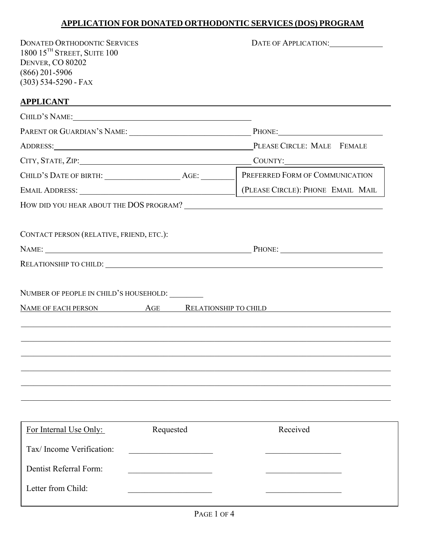## **APPLICATION FOR DONATED ORTHODONTIC SERVICES (DOS) PROGRAM**

DONATED ORTHODONTIC SERVICES **EXAMPLE APPLICATION:** 1800 15TH STREET, SUITE 100 DENVER, CO 80202 (866) 201-5906  $(303)$  534-5290 - FAX

## **APPLICANT**

|                                              |           | ADDRESS: PLEASE CIRCLE: MALE FEMALE           |
|----------------------------------------------|-----------|-----------------------------------------------|
|                                              |           |                                               |
|                                              |           | PREFERRED FORM OF COMMUNICATION               |
|                                              |           | (PLEASE CIRCLE): PHONE EMAIL MAIL             |
|                                              |           |                                               |
| CONTACT PERSON (RELATIVE, FRIEND, ETC.):     |           |                                               |
|                                              |           |                                               |
|                                              |           | NAME OF EACH PERSON AGE RELATIONSHIP TO CHILD |
|                                              |           |                                               |
|                                              |           |                                               |
| For Internal Use Only:                       | Requested | Received                                      |
| Tax/Income Verification:                     |           |                                               |
|                                              |           |                                               |
| Dentist Referral Form:<br>Letter from Child: |           |                                               |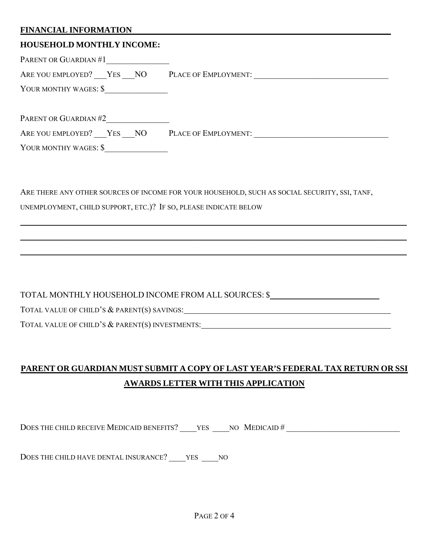### **FINANCIAL INFORMATION**

#### **HOUSEHOLD MONTHLY INCOME:**

PARENT OR GUARDIAN #1

ARE YOU EMPLOYED? YES NO PLACE OF EMPLOYMENT:

YOUR MONTHY WAGES: \$

PARENT OR GUARDIAN #2

ARE YOU EMPLOYED? \_\_\_YES \_\_\_NO PLACE OF EMPLOYMENT: \_\_\_\_\_\_\_\_\_\_\_\_\_\_\_\_\_\_\_\_\_\_\_\_\_\_\_\_\_

YOUR MONTHY WAGES: \$

ARE THERE ANY OTHER SOURCES OF INCOME FOR YOUR HOUSEHOLD, SUCH AS SOCIAL SECURITY, SSI, TANF,

 $\_$  , and the set of the set of the set of the set of the set of the set of the set of the set of the set of the set of the set of the set of the set of the set of the set of the set of the set of the set of the set of th

 $\_$  , and the set of the set of the set of the set of the set of the set of the set of the set of the set of the set of the set of the set of the set of the set of the set of the set of the set of the set of the set of th

 $\_$  , and the set of the set of the set of the set of the set of the set of the set of the set of the set of the set of the set of the set of the set of the set of the set of the set of the set of the set of the set of th

UNEMPLOYMENT, CHILD SUPPORT, ETC.)? IF SO, PLEASE INDICATE BELOW

TOTAL MONTHLY HOUSEHOLD INCOME FROM ALL SOURCES: \$

TOTAL VALUE OF CHILD'S & PARENT(S) SAVINGS:

TOTAL VALUE OF CHILD'S & PARENT(S) INVESTMENTS:

# **PARENT OR GUARDIAN MUST SUBMIT A COPY OF LAST YEAR'S FEDERAL TAX RETURN OR SSI AWARDS LETTER WITH THIS APPLICATION**

DOES THE CHILD RECEIVE MEDICAID BENEFITS? YES NO MEDICAID #

DOES THE CHILD HAVE DENTAL INSURANCE? YES NO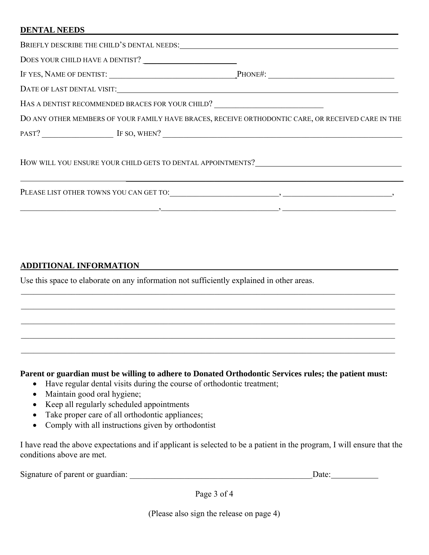### **DENTAL NEEDS**

|  | BRIEFLY DESCRIBE THE CHILD'S DENTAL NEEDS:                                                         |
|--|----------------------------------------------------------------------------------------------------|
|  |                                                                                                    |
|  | IF YES, NAME OF DENTIST: PHONE#: PHONE#:                                                           |
|  |                                                                                                    |
|  | HAS A DENTIST RECOMMENDED BRACES FOR YOUR CHILD?                                                   |
|  | DO ANY OTHER MEMBERS OF YOUR FAMILY HAVE BRACES, RECEIVE ORTHODONTIC CARE, OR RECEIVED CARE IN THE |
|  | PAST? IF SO, WHEN?                                                                                 |

 $\overline{\phantom{a}}$  , and the contract of the contract of the contract of the contract of the contract of the contract of the contract of the contract of the contract of the contract of the contract of the contract of the contrac

 $\frac{1}{2}$  ,  $\frac{1}{2}$  ,  $\frac{1}{2}$  ,  $\frac{1}{2}$  ,  $\frac{1}{2}$  ,  $\frac{1}{2}$  ,  $\frac{1}{2}$  ,  $\frac{1}{2}$  ,  $\frac{1}{2}$  ,  $\frac{1}{2}$  ,  $\frac{1}{2}$  ,  $\frac{1}{2}$  ,  $\frac{1}{2}$  ,  $\frac{1}{2}$  ,  $\frac{1}{2}$  ,  $\frac{1}{2}$  ,  $\frac{1}{2}$  ,  $\frac{1}{2}$  ,  $\frac{1$ 

HOW WILL YOU ENSURE YOUR CHILD GETS TO DENTAL APPOINTMENTS?

PLEASE LIST OTHER TOWNS YOU CAN GET TO:\_\_\_\_\_\_\_\_\_\_\_\_\_\_\_\_\_\_\_\_\_\_\_\_\_\_, \_\_\_\_\_\_\_\_\_\_\_\_\_\_\_\_\_\_\_\_\_\_\_\_\_\_,

## **ADDITIONAL INFORMATION**

Use this space to elaborate on any information not sufficiently explained in other areas.

#### **Parent or guardian must be willing to adhere to Donated Orthodontic Services rules; the patient must:**

 $\_$  , and the contribution of the contribution of the contribution of the contribution of the contribution of  $\mathcal{L}_\text{max}$ 

 $\_$  , and the contribution of the contribution of the contribution of the contribution of the contribution of  $\mathcal{L}_\text{max}$ 

 $\_$  , and the contribution of the contribution of the contribution of the contribution of the contribution of  $\mathcal{L}_\text{max}$ 

 $\_$  , and the contribution of the contribution of the contribution of the contribution of the contribution of  $\mathcal{L}_\text{max}$ 

 $\_$  , and the contribution of the contribution of the contribution of the contribution of the contribution of  $\mathcal{L}_\text{max}$ 

- Have regular dental visits during the course of orthodontic treatment;
- Maintain good oral hygiene;
- Keep all regularly scheduled appointments
- Take proper care of all orthodontic appliances;
- Comply with all instructions given by orthodontist

I have read the above expectations and if applicant is selected to be a patient in the program, I will ensure that the conditions above are met.

Signature of parent or guardian: \_\_\_\_\_\_\_\_\_\_\_\_\_\_\_\_\_\_\_\_\_\_\_\_\_\_\_\_\_\_\_\_\_\_\_\_\_\_\_\_\_\_\_ Date:

Page 3 of 4

(Please also sign the release on page 4)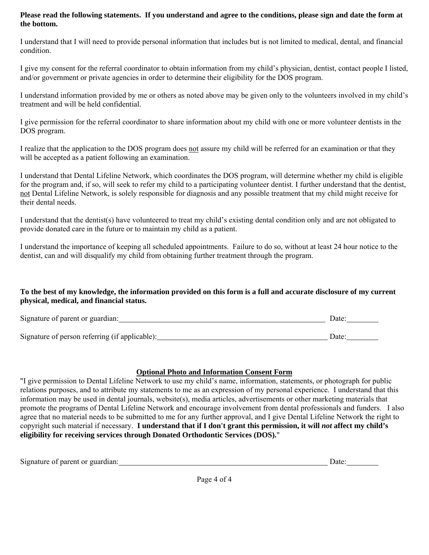#### **Please read the following statements. If you understand and agree to the conditions, please sign and date the form at the bottom.**

I understand that I will need to provide personal information that includes but is not limited to medical, dental, and financial condition.

I give my consent for the referral coordinator to obtain information from my child's physician, dentist, contact people I listed, and/or government or private agencies in order to determine their eligibility for the DOS program.

I understand information provided by me or others as noted above may be given only to the volunteers involved in my child's treatment and will be held confidential.

I give permission for the referral coordinator to share information about my child with one or more volunteer dentists in the DOS program.

I realize that the application to the DOS program does not assure my child will be referred for an examination or that they will be accepted as a patient following an examination.

I understand that Dental Lifeline Network, which coordinates the DOS program, will determine whether my child is eligible for the program and, if so, will seek to refer my child to a participating volunteer dentist. I further understand that the dentist, not Dental Lifeline Network, is solely responsible for diagnosis and any possible treatment that my child might receive for their dental needs.

I understand that the dentist(s) have volunteered to treat my child's existing dental condition only and are not obligated to provide donated care in the future or to maintain my child as a patient.

I understand the importance of keeping all scheduled appointments. Failure to do so, without at least 24 hour notice to the dentist, can and will disqualify my child from obtaining further treatment through the program.

#### **To the best of my knowledge, the information provided on this form is a full and accurate disclosure of my current physical, medical, and financial status.**

| Signature of parent or guardian:               | Date <sup>-</sup> |  |  |
|------------------------------------------------|-------------------|--|--|
|                                                |                   |  |  |
| Signature of person referring (if applicable): | Date:             |  |  |

#### **Optional Photo and Information Consent Form**

"I give permission to Dental Lifeline Network to use my child's name, information, statements, or photograph for public relations purposes, and to attribute my statements to me as an expression of my personal experience. I understand that this information may be used in dental journals, website(s), media articles, advertisements or other marketing materials that promote the programs of Dental Lifeline Network and encourage involvement from dental professionals and funders. I also agree that no material needs to be submitted to me for any further approval, and I give Dental Lifeline Network the right to copyright such material if necessary. **I understand that if I don't grant this permission, it will** *not* **affect my child's eligibility for receiving services through Donated Orthodontic Services (DOS).**"

| Signature of parent or guardian: | -Jafe |
|----------------------------------|-------|
|                                  |       |

Page 4 of 4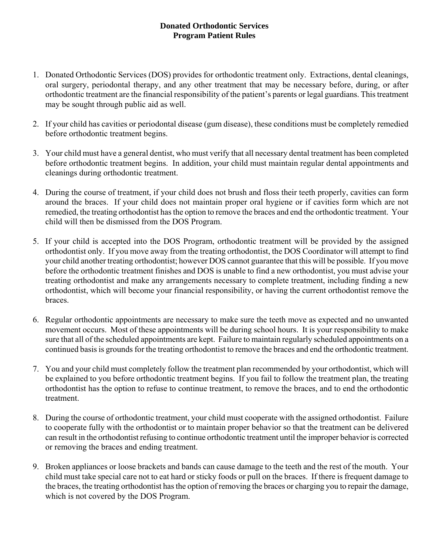## **Donated Orthodontic Services Program Patient Rules**

- 1. Donated Orthodontic Services (DOS) provides for orthodontic treatment only. Extractions, dental cleanings, oral surgery, periodontal therapy, and any other treatment that may be necessary before, during, or after orthodontic treatment are the financial responsibility of the patient's parents or legal guardians. This treatment may be sought through public aid as well.
- 2. If your child has cavities or periodontal disease (gum disease), these conditions must be completely remedied before orthodontic treatment begins.
- 3. Your child must have a general dentist, who must verify that all necessary dental treatment has been completed before orthodontic treatment begins. In addition, your child must maintain regular dental appointments and cleanings during orthodontic treatment.
- 4. During the course of treatment, if your child does not brush and floss their teeth properly, cavities can form around the braces. If your child does not maintain proper oral hygiene or if cavities form which are not remedied, the treating orthodontist has the option to remove the braces and end the orthodontic treatment. Your child will then be dismissed from the DOS Program.
- 5. If your child is accepted into the DOS Program, orthodontic treatment will be provided by the assigned orthodontist only. If you move away from the treating orthodontist, the DOS Coordinator will attempt to find your child another treating orthodontist; however DOS cannot guarantee that this will be possible. If you move before the orthodontic treatment finishes and DOS is unable to find a new orthodontist, you must advise your treating orthodontist and make any arrangements necessary to complete treatment, including finding a new orthodontist, which will become your financial responsibility, or having the current orthodontist remove the braces.
- 6. Regular orthodontic appointments are necessary to make sure the teeth move as expected and no unwanted movement occurs. Most of these appointments will be during school hours. It is your responsibility to make sure that all of the scheduled appointments are kept. Failure to maintain regularly scheduled appointments on a continued basis is grounds for the treating orthodontist to remove the braces and end the orthodontic treatment.
- 7. You and your child must completely follow the treatment plan recommended by your orthodontist, which will be explained to you before orthodontic treatment begins. If you fail to follow the treatment plan, the treating orthodontist has the option to refuse to continue treatment, to remove the braces, and to end the orthodontic treatment.
- 8. During the course of orthodontic treatment, your child must cooperate with the assigned orthodontist. Failure to cooperate fully with the orthodontist or to maintain proper behavior so that the treatment can be delivered can result in the orthodontist refusing to continue orthodontic treatment until the improper behavior is corrected or removing the braces and ending treatment.
- 9. Broken appliances or loose brackets and bands can cause damage to the teeth and the rest of the mouth. Your child must take special care not to eat hard or sticky foods or pull on the braces. If there is frequent damage to the braces, the treating orthodontist has the option of removing the braces or charging you to repair the damage, which is not covered by the DOS Program.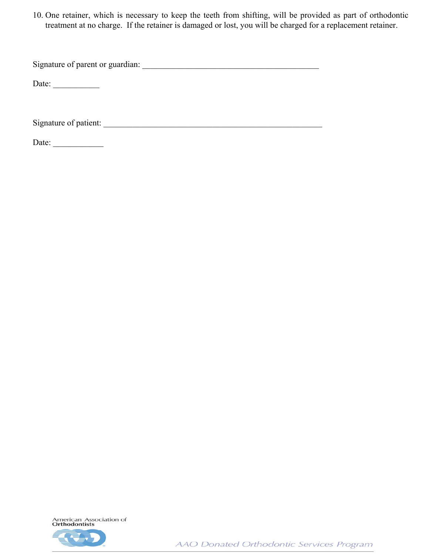10. One retainer, which is necessary to keep the teeth from shifting, will be provided as part of orthodontic treatment at no charge. If the retainer is damaged or lost, you will be charged for a replacement retainer.

Signature of parent or guardian: \_\_\_\_\_\_\_\_\_\_\_\_\_\_\_\_\_\_\_\_\_\_\_\_\_\_\_\_\_\_\_\_\_\_\_\_\_\_\_\_\_\_

Date:  $\frac{2}{\sqrt{2\pi}}$ 

Signature of patient: \_\_\_\_\_\_\_\_\_\_\_\_\_\_\_\_\_\_\_\_\_\_\_\_\_\_\_\_\_\_\_\_\_\_\_\_\_\_\_\_\_\_\_\_\_\_\_\_\_\_\_\_

Date: \_\_\_\_\_\_\_\_\_\_\_\_



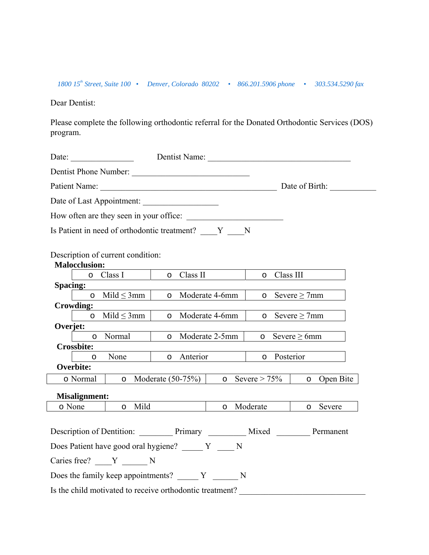*1800 15th Street, Suite 100 • Denver, Colorado 80202 • 866.201.5906 phone • 303.534.5290 fax*

Dear Dentist:

Please complete the following orthodontic referral for the Donated Orthodontic Services (DOS) program.

|                 |                      | Date: $\qquad \qquad$                                                           |         |                     |                  | Dentist Name:        |                                                         |  |
|-----------------|----------------------|---------------------------------------------------------------------------------|---------|---------------------|------------------|----------------------|---------------------------------------------------------|--|
|                 |                      | Dentist Phone Number:                                                           |         |                     |                  |                      |                                                         |  |
|                 |                      |                                                                                 |         |                     |                  |                      | Date of Birth:                                          |  |
|                 |                      | Date of Last Appointment:                                                       |         |                     |                  |                      |                                                         |  |
|                 |                      | How often are they seen in your office:                                         |         |                     |                  |                      |                                                         |  |
|                 |                      | Is Patient in need of orthodontic treatment? Y N                                |         |                     |                  |                      |                                                         |  |
|                 | <b>Malocclusion:</b> | Description of current condition:                                               |         |                     |                  |                      |                                                         |  |
|                 | $\circ$              | Class I                                                                         | $\circ$ | Class II            |                  | Class III<br>$\circ$ |                                                         |  |
| <b>Spacing:</b> |                      |                                                                                 |         |                     |                  |                      |                                                         |  |
|                 |                      | $\circ$ Mild $\leq$ 3mm                                                         |         |                     | o Moderate 4-6mm |                      | o Severe $\geq$ 7mm                                     |  |
|                 | <b>Crowding:</b>     |                                                                                 |         |                     |                  |                      |                                                         |  |
|                 | $\circ$              | Mild $\leq$ 3mm                                                                 | $\circ$ |                     | Moderate 4-6mm   | $\circ$              | Severe $\geq$ 7mm                                       |  |
| Overjet:        | $\circ$              | Normal                                                                          |         |                     | o Moderate 2-5mm |                      | Severe $\geq 6$ mm                                      |  |
|                 | <b>Crossbite:</b>    |                                                                                 |         |                     |                  | $\circ$              |                                                         |  |
|                 | $\circ$              | None                                                                            | $\circ$ | Anterior            |                  | Posterior<br>$\circ$ |                                                         |  |
|                 | <b>Overbite:</b>     |                                                                                 |         |                     |                  |                      |                                                         |  |
|                 | o Normal             | $\circ$                                                                         |         | Moderate $(50-75%)$ |                  | o Severe > $75\%$    | o Open Bite                                             |  |
|                 | <b>Misalignment:</b> |                                                                                 |         |                     |                  |                      |                                                         |  |
|                 | o None               | Mild<br>$\circ$                                                                 |         |                     |                  | o Moderate           | Severe<br>$\circ$                                       |  |
|                 |                      |                                                                                 |         |                     |                  |                      |                                                         |  |
|                 |                      |                                                                                 |         |                     |                  |                      | Description of Dentition: Primary Mixed Mixed Permanent |  |
|                 |                      | Does Patient have good oral hygiene? Y N                                        |         |                     |                  |                      |                                                         |  |
|                 |                      | Caries free? Y N                                                                |         |                     |                  |                      |                                                         |  |
|                 |                      | Does the family keep appointments? $\overline{Y}$ $\overline{Y}$ $\overline{N}$ |         |                     |                  |                      |                                                         |  |
|                 |                      | Is the child motivated to receive orthodontic treatment?                        |         |                     |                  |                      |                                                         |  |